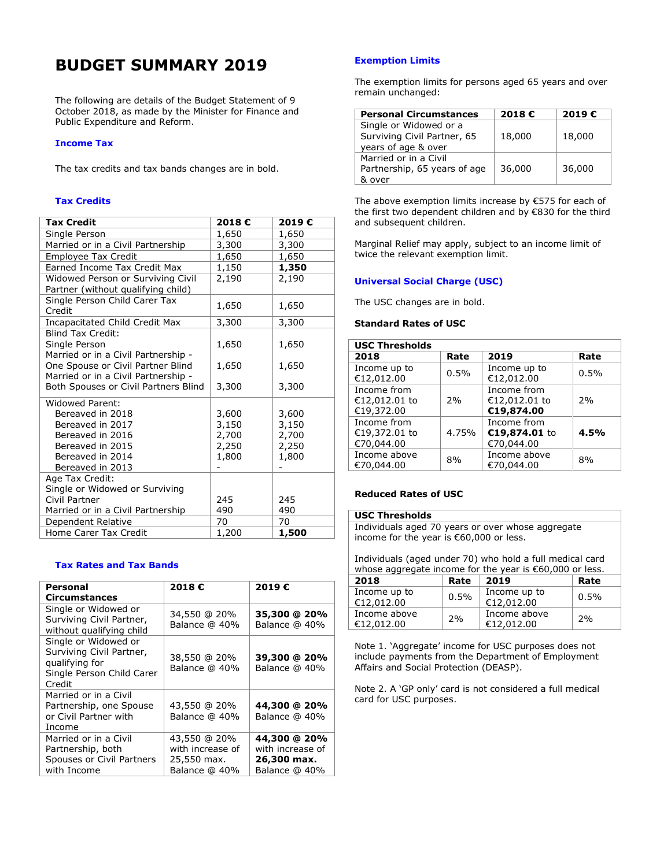# **BUDGET SUMMARY 2019**

The following are details of the Budget Statement of 9 October 2018, as made by the Minister for Finance and Public Expenditure and Reform.

# **Income Tax**

The tax credits and tax bands changes are in bold.

# **Tax Credits**

| <b>Tax Credit</b>                    | 2018€ | 2019€ |
|--------------------------------------|-------|-------|
| Single Person                        | 1,650 | 1,650 |
| Married or in a Civil Partnership    | 3,300 | 3,300 |
| <b>Employee Tax Credit</b>           | 1,650 | 1,650 |
| Earned Income Tax Credit Max         | 1,150 | 1,350 |
| Widowed Person or Surviving Civil    | 2,190 | 2,190 |
| Partner (without qualifying child)   |       |       |
| Single Person Child Carer Tax        | 1,650 | 1,650 |
| Credit                               |       |       |
| Incapacitated Child Credit Max       | 3,300 | 3,300 |
| <b>Blind Tax Credit:</b>             |       |       |
| Single Person                        | 1,650 | 1,650 |
| Married or in a Civil Partnership -  |       |       |
| One Spouse or Civil Partner Blind    | 1,650 | 1,650 |
| Married or in a Civil Partnership -  |       |       |
| Both Spouses or Civil Partners Blind | 3,300 | 3,300 |
| Widowed Parent:                      |       |       |
| Bereaved in 2018                     | 3,600 | 3,600 |
| Bereaved in 2017                     | 3,150 | 3,150 |
| Bereaved in 2016                     | 2,700 | 2,700 |
| Bereaved in 2015                     | 2,250 | 2,250 |
| Bereaved in 2014                     | 1,800 | 1,800 |
| Bereaved in 2013                     |       |       |
| Age Tax Credit:                      |       |       |
| Single or Widowed or Surviving       |       |       |
| Civil Partner                        | 245   | 245   |
| Married or in a Civil Partnership    | 490   | 490   |
| Dependent Relative                   | 70    | 70    |
| Home Carer Tax Credit                | 1,200 | 1,500 |

# **Tax Rates and Tax Bands**

| Personal                                                                                                  | 2018€                                                            | 2019€                                                            |
|-----------------------------------------------------------------------------------------------------------|------------------------------------------------------------------|------------------------------------------------------------------|
| <b>Circumstances</b>                                                                                      |                                                                  |                                                                  |
| Single or Widowed or<br>Surviving Civil Partner,<br>without qualifying child                              | 34,550 @ 20%<br>Balance @ 40%                                    | 35,300 @ 20%<br>Balance @ 40%                                    |
| Single or Widowed or<br>Surviving Civil Partner,<br>qualifying for<br>Single Person Child Carer<br>Credit | 38,550 @ 20%<br>Balance @ 40%                                    | 39,300 @ 20%<br>Balance @ 40%                                    |
| Married or in a Civil<br>Partnership, one Spouse<br>or Civil Partner with<br>Income                       | 43,550 @ 20%<br>Balance @ 40%                                    | 44,300 @ 20%<br>Balance @ 40%                                    |
| Married or in a Civil<br>Partnership, both<br>Spouses or Civil Partners<br>with Income                    | 43,550 @ 20%<br>with increase of<br>25,550 max.<br>Balance @ 40% | 44,300 @ 20%<br>with increase of<br>26,300 max.<br>Balance @ 40% |

# **Exemption Limits**

The exemption limits for persons aged 65 years and over remain unchanged:

| <b>Personal Circumstances</b> | 2018€  | 2019€  |
|-------------------------------|--------|--------|
| Single or Widowed or a        |        |        |
| Surviving Civil Partner, 65   | 18,000 | 18,000 |
| years of age & over           |        |        |
| Married or in a Civil         |        |        |
| Partnership, 65 years of age  | 36,000 | 36,000 |
| & over                        |        |        |

The above exemption limits increase by €575 for each of the first two dependent children and by €830 for the third and subsequent children.

Marginal Relief may apply, subject to an income limit of twice the relevant exemption limit.

# **Universal Social Charge (USC)**

The USC changes are in bold.

# **Standard Rates of USC**

| <b>USC Thresholds</b>                      |       |                                            |      |
|--------------------------------------------|-------|--------------------------------------------|------|
| 2018                                       | Rate  | 2019                                       | Rate |
| Income up to<br>€12,012.00                 | 0.5%  | Income up to<br>€12,012.00                 | 0.5% |
| Income from<br>€12,012.01 to<br>€19,372.00 | 2%    | Income from<br>€12,012.01 to<br>€19,874.00 | 2%   |
| Income from<br>€19,372.01 to<br>€70,044.00 | 4.75% | Income from<br>€19,874.01 to<br>€70,044.00 | 4.5% |
| Income above<br>€70,044.00                 | 8%    | Income above<br>€70,044.00                 | 8%   |

# **Reduced Rates of USC**

#### **USC Thresholds**

Individuals aged 70 years or over whose aggregate income for the year is €60,000 or less.

Individuals (aged under 70) who hold a full medical card whose aggregate income for the year is €60,000 or less.

| 2018                       | Rate | 2019                       | Rate |
|----------------------------|------|----------------------------|------|
| Income up to<br>€12,012.00 | 0.5% | Income up to<br>€12,012.00 | 0.5% |
| Income above<br>€12,012.00 | 2%   | Income above<br>€12,012.00 | 2%   |

Note 1. 'Aggregate' income for USC purposes does not include payments from the Department of Employment Affairs and Social Protection (DEASP).

Note 2. A 'GP only' card is not considered a full medical card for USC purposes.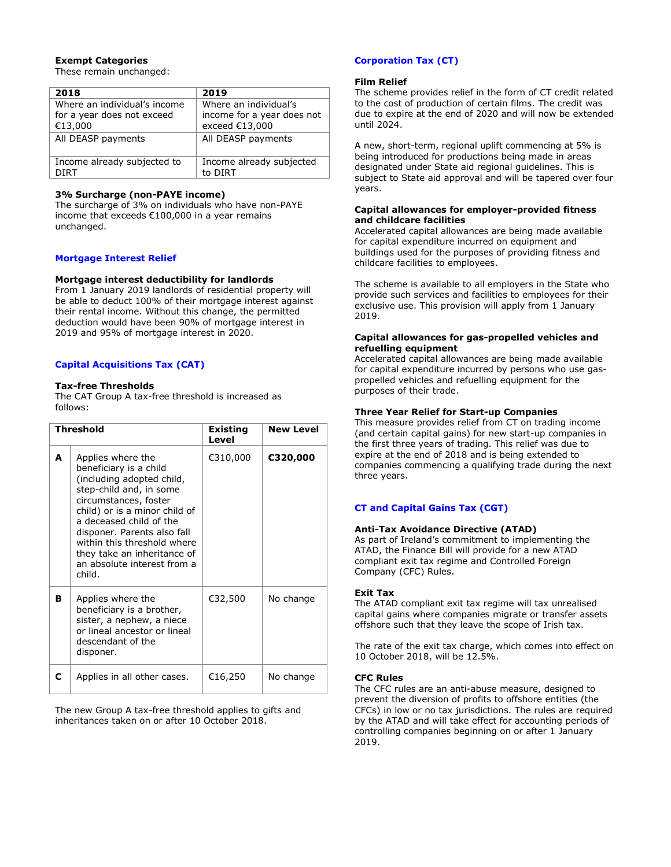# **Exempt Categories**

These remain unchanged:

| 2018                                                                  | 2019                                                                  |
|-----------------------------------------------------------------------|-----------------------------------------------------------------------|
| Where an individual's income<br>for a year does not exceed<br>€13,000 | Where an individual's<br>income for a year does not<br>exceed €13,000 |
| All DEASP payments                                                    | All DEASP payments                                                    |
| Income already subjected to<br>DIRT                                   | Income already subjected<br>to DIRT                                   |

## **3% Surcharge (non-PAYE income)**

The surcharge of 3% on individuals who have non-PAYE income that exceeds €100,000 in a year remains unchanged.

# **Mortgage Interest Relief**

## **Mortgage interest deductibility for landlords**

From 1 January 2019 landlords of residential property will be able to deduct 100% of their mortgage interest against their rental income. Without this change, the permitted deduction would have been 90% of mortgage interest in 2019 and 95% of mortgage interest in 2020.

# **Capital Acquisitions Tax (CAT)**

## **Tax-free Thresholds**

The CAT Group A tax-free threshold is increased as follows:

|   | <b>Threshold</b>                                                                                                                                                                                                                                                                                                               | Existing<br>Level | <b>New Level</b> |
|---|--------------------------------------------------------------------------------------------------------------------------------------------------------------------------------------------------------------------------------------------------------------------------------------------------------------------------------|-------------------|------------------|
| A | Applies where the<br>beneficiary is a child<br>(including adopted child,<br>step-child and, in some<br>circumstances, foster<br>child) or is a minor child of<br>a deceased child of the<br>disponer. Parents also fall<br>within this threshold where<br>they take an inheritance of<br>an absolute interest from a<br>child. | €310,000          | €320,000         |
| в | Applies where the<br>beneficiary is a brother,<br>sister, a nephew, a niece<br>or lineal ancestor or lineal<br>descendant of the<br>disponer.                                                                                                                                                                                  | €32,500           | No change        |
| С | Applies in all other cases.                                                                                                                                                                                                                                                                                                    | €16,250           | No change        |

The new Group A tax-free threshold applies to gifts and inheritances taken on or after 10 October 2018.

# **Corporation Tax (CT)**

#### **Film Relief**

The scheme provides relief in the form of CT credit related to the cost of production of certain films. The credit was due to expire at the end of 2020 and will now be extended until 2024.

A new, short-term, regional uplift commencing at 5% is being introduced for productions being made in areas designated under State aid regional guidelines. This is subject to State aid approval and will be tapered over four years.

## **Capital allowances for employer-provided fitness and childcare facilities**

Accelerated capital allowances are being made available for capital expenditure incurred on equipment and buildings used for the purposes of providing fitness and childcare facilities to employees.

The scheme is available to all employers in the State who provide such services and facilities to employees for their exclusive use. This provision will apply from 1 January 2019.

## **Capital allowances for gas-propelled vehicles and refuelling equipment**

Accelerated capital allowances are being made available for capital expenditure incurred by persons who use gaspropelled vehicles and refuelling equipment for the purposes of their trade.

## **Three Year Relief for Start-up Companies**

This measure provides relief from CT on trading income (and certain capital gains) for new start-up companies in the first three years of trading. This relief was due to expire at the end of 2018 and is being extended to companies commencing a qualifying trade during the next three years.

# **CT and Capital Gains Tax (CGT)**

## **Anti-Tax Avoidance Directive (ATAD)**

As part of Ireland's commitment to implementing the ATAD, the Finance Bill will provide for a new ATAD compliant exit tax regime and Controlled Foreign Company (CFC) Rules.

## **Exit Tax**

The ATAD compliant exit tax regime will tax unrealised capital gains where companies migrate or transfer assets offshore such that they leave the scope of Irish tax.

The rate of the exit tax charge, which comes into effect on 10 October 2018, will be 12.5%.

#### **CFC Rules**

The CFC rules are an anti-abuse measure, designed to prevent the diversion of profits to offshore entities (the CFCs) in low or no tax jurisdictions. The rules are required by the ATAD and will take effect for accounting periods of controlling companies beginning on or after 1 January 2019.